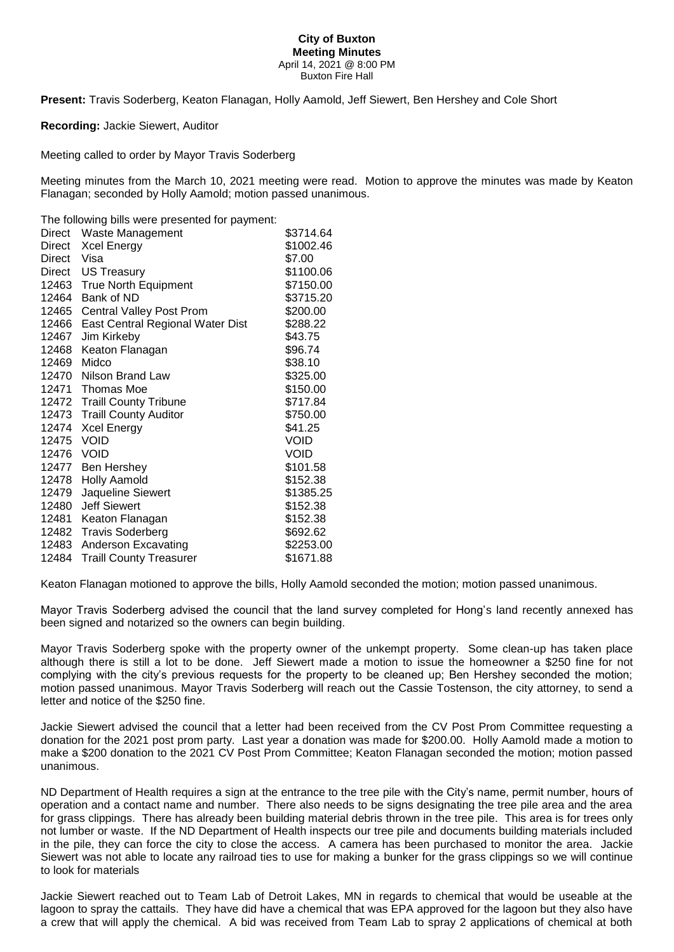## **City of Buxton Meeting Minutes** April 14, 2021 @ 8:00 PM Buxton Fire Hall

**Present:** Travis Soderberg, Keaton Flanagan, Holly Aamold, Jeff Siewert, Ben Hershey and Cole Short

**Recording:** Jackie Siewert, Auditor

Meeting called to order by Mayor Travis Soderberg

Meeting minutes from the March 10, 2021 meeting were read. Motion to approve the minutes was made by Keaton Flanagan; seconded by Holly Aamold; motion passed unanimous.

The following bills were presented for payment:

|            | Direct Waste Management          | \$3714.64   |
|------------|----------------------------------|-------------|
| Direct     | Xcel Energy                      | \$1002.46   |
| Direct     | Visa                             | \$7.00      |
|            | Direct US Treasury               | \$1100.06   |
|            | 12463 True North Equipment       | \$7150.00   |
| 12464      | Bank of ND                       | \$3715.20   |
| 12465      | Central Valley Post Prom         | \$200.00    |
| 12466      | East Central Regional Water Dist | \$288.22    |
| 12467      | Jim Kirkeby                      | \$43.75     |
| 12468      | Keaton Flanagan                  | \$96.74     |
| 12469      | Midco                            | \$38.10     |
| 12470      | Nilson Brand Law                 | \$325.00    |
|            | 12471 Thomas Moe                 | \$150.00    |
|            | 12472 Traill County Tribune      | \$717.84    |
|            | 12473 Traill County Auditor      | \$750.00    |
| 12474      | <b>Xcel Energy</b>               | \$41.25     |
| 12475 VOID |                                  | <b>VOID</b> |
| 12476 VOID |                                  | VOID        |
| 12477      | Ben Hershey                      | \$101.58    |
| 12478      | <b>Holly Aamold</b>              | \$152.38    |
| 12479      | Jaqueline Siewert                | \$1385.25   |
| 12480      | <b>Jeff Siewert</b>              | \$152.38    |
|            | 12481 Keaton Flanagan            | \$152.38    |
|            | 12482 Travis Soderberg           | \$692.62    |
| 12483      | Anderson Excavating              | \$2253.00   |
| 12484      | <b>Traill County Treasurer</b>   | \$1671.88   |

Keaton Flanagan motioned to approve the bills, Holly Aamold seconded the motion; motion passed unanimous.

Mayor Travis Soderberg advised the council that the land survey completed for Hong's land recently annexed has been signed and notarized so the owners can begin building.

Mayor Travis Soderberg spoke with the property owner of the unkempt property. Some clean-up has taken place although there is still a lot to be done. Jeff Siewert made a motion to issue the homeowner a \$250 fine for not complying with the city's previous requests for the property to be cleaned up; Ben Hershey seconded the motion; motion passed unanimous. Mayor Travis Soderberg will reach out the Cassie Tostenson, the city attorney, to send a letter and notice of the \$250 fine.

Jackie Siewert advised the council that a letter had been received from the CV Post Prom Committee requesting a donation for the 2021 post prom party. Last year a donation was made for \$200.00. Holly Aamold made a motion to make a \$200 donation to the 2021 CV Post Prom Committee; Keaton Flanagan seconded the motion; motion passed unanimous.

ND Department of Health requires a sign at the entrance to the tree pile with the City's name, permit number, hours of operation and a contact name and number. There also needs to be signs designating the tree pile area and the area for grass clippings. There has already been building material debris thrown in the tree pile. This area is for trees only not lumber or waste. If the ND Department of Health inspects our tree pile and documents building materials included in the pile, they can force the city to close the access. A camera has been purchased to monitor the area. Jackie Siewert was not able to locate any railroad ties to use for making a bunker for the grass clippings so we will continue to look for materials

Jackie Siewert reached out to Team Lab of Detroit Lakes, MN in regards to chemical that would be useable at the lagoon to spray the cattails. They have did have a chemical that was EPA approved for the lagoon but they also have a crew that will apply the chemical. A bid was received from Team Lab to spray 2 applications of chemical at both